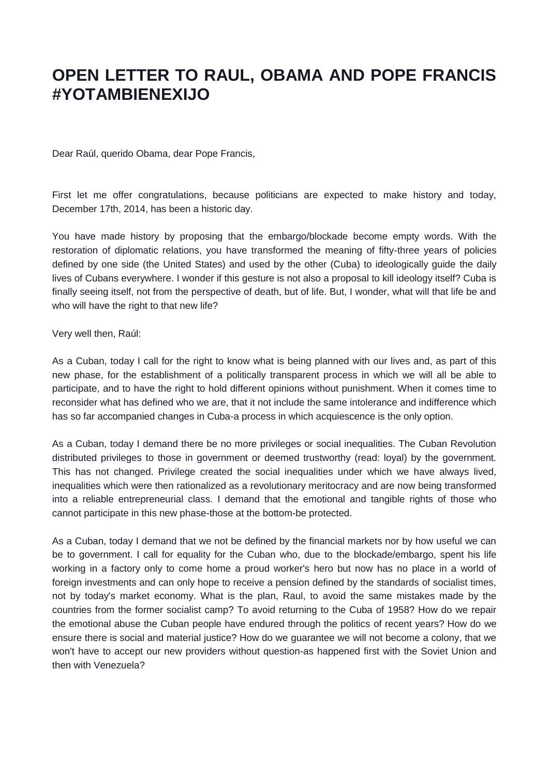## **OPEN LETTER TO RAUL, OBAMA AND POPE FRANCIS #YOTAMBIENEXIJO**

Dear Raúl, querido Obama, dear Pope Francis,

First let me offer congratulations, because politicians are expected to make history and today, December 17th, 2014, has been a historic day.

You have made history by proposing that the embargo/blockade become empty words. With the restoration of diplomatic relations, you have transformed the meaning of fifty-three years of policies defined by one side (the United States) and used by the other (Cuba) to ideologically guide the daily lives of Cubans everywhere. I wonder if this gesture is not also a proposal to kill ideology itself? Cuba is finally seeing itself, not from the perspective of death, but of life. But, I wonder, what will that life be and who will have the right to that new life?

## Very well then, Raúl:

As a Cuban, today I call for the right to know what is being planned with our lives and, as part of this new phase, for the establishment of a politically transparent process in which we will all be able to participate, and to have the right to hold different opinions without punishment. When it comes time to reconsider what has defined who we are, that it not include the same intolerance and indifference which has so far accompanied changes in Cuba-a process in which acquiescence is the only option.

As a Cuban, today I demand there be no more privileges or social inequalities. The Cuban Revolution distributed privileges to those in government or deemed trustworthy (read: loyal) by the government. This has not changed. Privilege created the social inequalities under which we have always lived, inequalities which were then rationalized as a revolutionary meritocracy and are now being transformed into a reliable entrepreneurial class. I demand that the emotional and tangible rights of those who cannot participate in this new phase-those at the bottom-be protected.

As a Cuban, today I demand that we not be defined by the financial markets nor by how useful we can be to government. I call for equality for the Cuban who, due to the blockade/embargo, spent his life working in a factory only to come home a proud worker's hero but now has no place in a world of foreign investments and can only hope to receive a pension defined by the standards of socialist times, not by today's market economy. What is the plan, Raul, to avoid the same mistakes made by the countries from the former socialist camp? To avoid returning to the Cuba of 1958? How do we repair the emotional abuse the Cuban people have endured through the politics of recent years? How do we ensure there is social and material justice? How do we guarantee we will not become a colony, that we won't have to accept our new providers without question-as happened first with the Soviet Union and then with Venezuela?